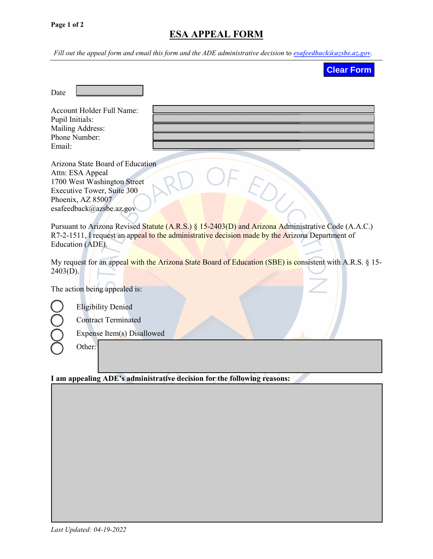## **ESA APPEAL FORM**

*Fill out the appeal form and email this form and the ADE administrative decision* to *esafeedback@azsbe.az.gov*.

| <b>Clear Form</b>                                                                                                                                                                                                                                                                                                                                                                               |
|-------------------------------------------------------------------------------------------------------------------------------------------------------------------------------------------------------------------------------------------------------------------------------------------------------------------------------------------------------------------------------------------------|
| Date                                                                                                                                                                                                                                                                                                                                                                                            |
| <b>Account Holder Full Name:</b><br>Pupil Initials:<br>Mailing Address:<br>Phone Number:<br>Email:                                                                                                                                                                                                                                                                                              |
| Arizona State Board of Education<br>Attn: ESA Appeal<br>1700 West Washington Street<br>Executive Tower, Suite 300<br>Phoenix, AZ 85007<br>esafeedback@azsbe.az.gov<br>Pursuant to Arizona Revised Statute (A.R.S.) § 15-2403(D) and Arizona Administrative Code (A.A.C.)<br>R7-2-1511, I request an appeal to the administrative decision made by the Arizona Department of<br>Education (ADE). |
| My request for an appeal with the Arizona State Board of Education (SBE) is consistent with A.R.S. § 15-<br>$2403(D)$ .                                                                                                                                                                                                                                                                         |
| The action being appealed is:                                                                                                                                                                                                                                                                                                                                                                   |
| <b>Eligibility Denied</b><br><b>Contract Terminated</b><br>Expense Item(s) Disallowed                                                                                                                                                                                                                                                                                                           |
| Other:                                                                                                                                                                                                                                                                                                                                                                                          |
| I am appealing ADE's administrative decision for the following reasons:                                                                                                                                                                                                                                                                                                                         |